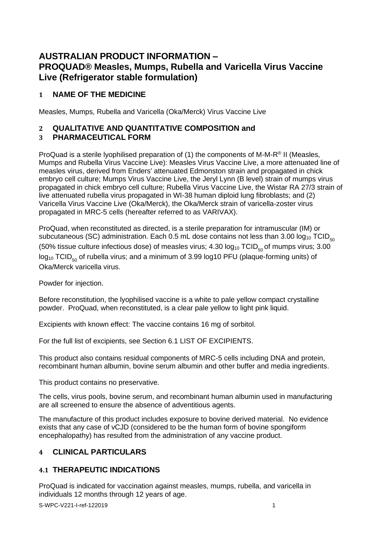# **AUSTRALIAN PRODUCT INFORMATION – PROQUAD® Measles, Mumps, Rubella and Varicella Virus Vaccine Live (Refrigerator stable formulation)**

# **1 NAME OF THE MEDICINE**

Measles, Mumps, Rubella and Varicella (Oka/Merck) Virus Vaccine Live

# **2 QUALITATIVE AND QUANTITATIVE COMPOSITION and**

# **3 PHARMACEUTICAL FORM**

ProQuad is a sterile lyophilised preparation of (1) the components of M-M-R® II (Measles, Mumps and Rubella Virus Vaccine Live): Measles Virus Vaccine Live, a more attenuated line of measles virus, derived from Enders' attenuated Edmonston strain and propagated in chick embryo cell culture; Mumps Virus Vaccine Live, the Jeryl Lynn (B level) strain of mumps virus propagated in chick embryo cell culture; Rubella Virus Vaccine Live, the Wistar RA 27/3 strain of live attenuated rubella virus propagated in WI-38 human diploid lung fibroblasts; and (2) Varicella Virus Vaccine Live (Oka/Merck), the Oka/Merck strain of varicella-zoster virus propagated in MRC-5 cells (hereafter referred to as VARIVAX).

ProQuad, when reconstituted as directed, is a sterile preparation for intramuscular (IM) or subcutaneous (SC) administration. Each 0.5 mL dose contains not less than 3.00  $log_{10}$  TCID<sub>50</sub> (50% tissue culture infectious dose) of measles virus; 4.30  $log_{10}$  TCID<sub>50</sub> of mumps virus; 3.00  $log_{10}$  TCID<sub>50</sub> of rubella virus; and a minimum of 3.99 log10 PFU (plaque-forming units) of Oka/Merck varicella virus.

Powder for injection.

Before reconstitution, the lyophilised vaccine is a white to pale yellow compact crystalline powder. ProQuad, when reconstituted, is a clear pale yellow to light pink liquid.

Excipients with known effect: The vaccine contains 16 mg of sorbitol.

For the full list of excipients, see Section 6.1 LIST OF EXCIPIENTS.

This product also contains residual components of MRC-5 cells including DNA and protein, recombinant human albumin, bovine serum albumin and other buffer and media ingredients.

This product contains no preservative.

The cells, virus pools, bovine serum, and recombinant human albumin used in manufacturing are all screened to ensure the absence of adventitious agents.

The manufacture of this product includes exposure to bovine derived material. No evidence exists that any case of vCJD (considered to be the human form of bovine spongiform encephalopathy) has resulted from the administration of any vaccine product.

# **4 CLINICAL PARTICULARS**

# **4.1 THERAPEUTIC INDICATIONS**

ProQuad is indicated for vaccination against measles, mumps, rubella, and varicella in individuals 12 months through 12 years of age.

S-WPC-V221-I-ref-122019 1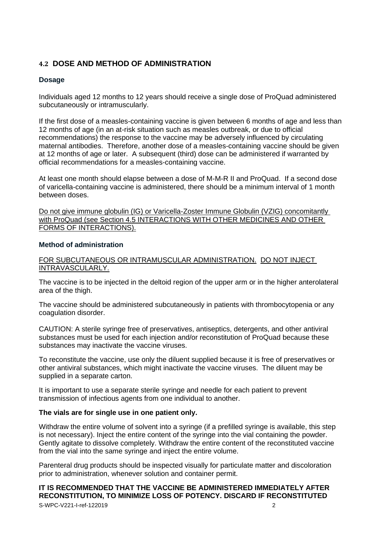# **4.2 DOSE AND METHOD OF ADMINISTRATION**

## **Dosage**

Individuals aged 12 months to 12 years should receive a single dose of ProQuad administered subcutaneously or intramuscularly.

If the first dose of a measles-containing vaccine is given between 6 months of age and less than 12 months of age (in an at-risk situation such as measles outbreak, or due to official recommendations) the response to the vaccine may be adversely influenced by circulating maternal antibodies. Therefore, another dose of a measles-containing vaccine should be given at 12 months of age or later. A subsequent (third) dose can be administered if warranted by official recommendations for a measles-containing vaccine.

At least one month should elapse between a dose of M-M-R II and ProQuad. If a second dose of varicella-containing vaccine is administered, there should be a minimum interval of 1 month between doses.

Do not give immune globulin (IG) or Varicella-Zoster Immune Globulin (VZIG) concomitantly with ProQuad (see Section 4.5 INTERACTIONS WITH OTHER MEDICINES AND OTHER FORMS OF INTERACTIONS).

## **Method of administration**

FOR SUBCUTANEOUS OR INTRAMUSCULAR ADMINISTRATION. DO NOT INJECT INTRAVASCULARLY.

The vaccine is to be injected in the deltoid region of the upper arm or in the higher anterolateral area of the thigh.

The vaccine should be administered subcutaneously in patients with thrombocytopenia or any coagulation disorder.

CAUTION: A sterile syringe free of preservatives, antiseptics, detergents, and other antiviral substances must be used for each injection and/or reconstitution of ProQuad because these substances may inactivate the vaccine viruses.

To reconstitute the vaccine, use only the diluent supplied because it is free of preservatives or other antiviral substances, which might inactivate the vaccine viruses. The diluent may be supplied in a separate carton.

It is important to use a separate sterile syringe and needle for each patient to prevent transmission of infectious agents from one individual to another.

## **The vials are for single use in one patient only.**

Withdraw the entire volume of solvent into a syringe (if a prefilled syringe is available, this step is not necessary). Inject the entire content of the syringe into the vial containing the powder. Gently agitate to dissolve completely. Withdraw the entire content of the reconstituted vaccine from the vial into the same syringe and inject the entire volume.

Parenteral drug products should be inspected visually for particulate matter and discoloration prior to administration, whenever solution and container permit.

S-WPC-V221-I-ref-122019 2 **IT IS RECOMMENDED THAT THE VACCINE BE ADMINISTERED IMMEDIATELY AFTER RECONSTITUTION, TO MINIMIZE LOSS OF POTENCY. DISCARD IF RECONSTITUTED**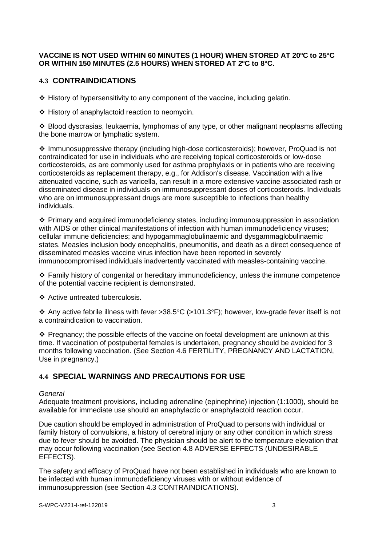## **VACCINE IS NOT USED WITHIN 60 MINUTES (1 HOUR) WHEN STORED AT 20ºC to 25°C OR WITHIN 150 MINUTES (2.5 HOURS) WHEN STORED AT 2ºC to 8°C.**

## **4.3 CONTRAINDICATIONS**

❖ History of hypersensitivity to any component of the vaccine, including gelatin.

❖ History of anaphylactoid reaction to neomycin.

❖ Blood dyscrasias, leukaemia, lymphomas of any type, or other malignant neoplasms affecting the bone marrow or lymphatic system.

❖ Immunosuppressive therapy (including high-dose corticosteroids); however, ProQuad is not contraindicated for use in individuals who are receiving topical corticosteroids or low-dose corticosteroids, as are commonly used for asthma prophylaxis or in patients who are receiving corticosteroids as replacement therapy, e.g., for Addison's disease. Vaccination with a live attenuated vaccine, such as varicella, can result in a more extensive vaccine-associated rash or disseminated disease in individuals on immunosuppressant doses of corticosteroids. Individuals who are on immunosuppressant drugs are more susceptible to infections than healthy individuals.

❖ Primary and acquired immunodeficiency states, including immunosuppression in association with AIDS or other clinical manifestations of infection with human immunodeficiency viruses; cellular immune deficiencies; and hypogammaglobulinaemic and dysgammaglobulinaemic states. Measles inclusion body encephalitis, pneumonitis, and death as a direct consequence of disseminated measles vaccine virus infection have been reported in severely immunocompromised individuals inadvertently vaccinated with measles-containing vaccine.

❖ Family history of congenital or hereditary immunodeficiency, unless the immune competence of the potential vaccine recipient is demonstrated.

❖ Active untreated tuberculosis.

 $\div$  Any active febrile illness with fever >38.5°C (>101.3°F); however, low-grade fever itself is not a contraindication to vaccination.

❖ Pregnancy; the possible effects of the vaccine on foetal development are unknown at this time. If vaccination of postpubertal females is undertaken, pregnancy should be avoided for 3 months following vaccination. (See Section 4.6 FERTILITY, PREGNANCY AND LACTATION, Use in pregnancy.)

# **4.4 SPECIAL WARNINGS AND PRECAUTIONS FOR USE**

#### *General*

Adequate treatment provisions, including adrenaline (epinephrine) injection (1:1000), should be available for immediate use should an anaphylactic or anaphylactoid reaction occur.

Due caution should be employed in administration of ProQuad to persons with individual or family history of convulsions, a history of cerebral injury or any other condition in which stress due to fever should be avoided. The physician should be alert to the temperature elevation that may occur following vaccination (see Section 4.8 ADVERSE EFFECTS (UNDESIRABLE EFFECTS).

The safety and efficacy of ProQuad have not been established in individuals who are known to be infected with human immunodeficiency viruses with or without evidence of immunosuppression (see Section 4.3 CONTRAINDICATIONS).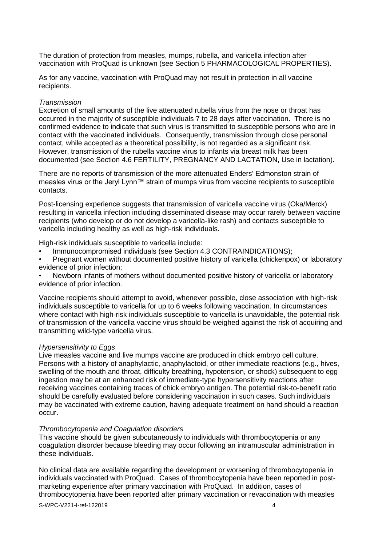The duration of protection from measles, mumps, rubella, and varicella infection after vaccination with ProQuad is unknown (see Section 5 PHARMACOLOGICAL PROPERTIES).

As for any vaccine, vaccination with ProQuad may not result in protection in all vaccine recipients.

#### *Transmission*

Excretion of small amounts of the live attenuated rubella virus from the nose or throat has occurred in the majority of susceptible individuals 7 to 28 days after vaccination. There is no confirmed evidence to indicate that such virus is transmitted to susceptible persons who are in contact with the vaccinated individuals. Consequently, transmission through close personal contact, while accepted as a theoretical possibility, is not regarded as a significant risk. However, transmission of the rubella vaccine virus to infants via breast milk has been documented (see Section 4.6 FERTILITY, PREGNANCY AND LACTATION, Use in lactation).

There are no reports of transmission of the more attenuated Enders' Edmonston strain of measles virus or the Jeryl Lynn™ strain of mumps virus from vaccine recipients to susceptible contacts.

Post-licensing experience suggests that transmission of varicella vaccine virus (Oka/Merck) resulting in varicella infection including disseminated disease may occur rarely between vaccine recipients (who develop or do not develop a varicella-like rash) and contacts susceptible to varicella including healthy as well as high-risk individuals.

High-risk individuals susceptible to varicella include:

- Immunocompromised individuals (see Section 4.3 CONTRAINDICATIONS);
- Pregnant women without documented positive history of varicella (chickenpox) or laboratory evidence of prior infection;

• Newborn infants of mothers without documented positive history of varicella or laboratory evidence of prior infection.

Vaccine recipients should attempt to avoid, whenever possible, close association with high-risk individuals susceptible to varicella for up to 6 weeks following vaccination. In circumstances where contact with high-risk individuals susceptible to varicella is unavoidable, the potential risk of transmission of the varicella vaccine virus should be weighed against the risk of acquiring and transmitting wild-type varicella virus.

#### *Hypersensitivity to Eggs*

Live measles vaccine and live mumps vaccine are produced in chick embryo cell culture. Persons with a history of anaphylactic, anaphylactoid, or other immediate reactions (e.g., hives, swelling of the mouth and throat, difficulty breathing, hypotension, or shock) subsequent to egg ingestion may be at an enhanced risk of immediate-type hypersensitivity reactions after receiving vaccines containing traces of chick embryo antigen. The potential risk-to-benefit ratio should be carefully evaluated before considering vaccination in such cases. Such individuals may be vaccinated with extreme caution, having adequate treatment on hand should a reaction occur.

#### *Thrombocytopenia and Coagulation disorders*

This vaccine should be given subcutaneously to individuals with thrombocytopenia or any coagulation disorder because bleeding may occur following an intramuscular administration in these individuals.

No clinical data are available regarding the development or worsening of thrombocytopenia in individuals vaccinated with ProQuad. Cases of thrombocytopenia have been reported in postmarketing experience after primary vaccination with ProQuad. In addition, cases of thrombocytopenia have been reported after primary vaccination or revaccination with measles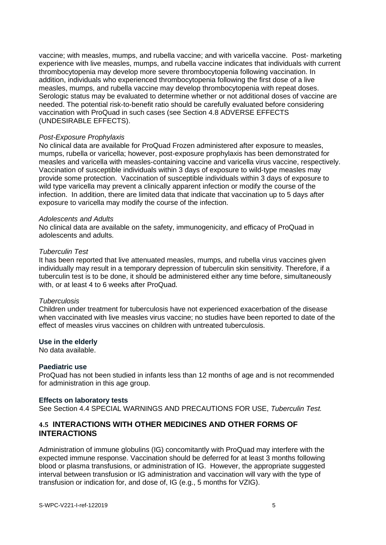vaccine; with measles, mumps, and rubella vaccine; and with varicella vaccine. Post- marketing experience with live measles, mumps, and rubella vaccine indicates that individuals with current thrombocytopenia may develop more severe thrombocytopenia following vaccination. In addition, individuals who experienced thrombocytopenia following the first dose of a live measles, mumps, and rubella vaccine may develop thrombocytopenia with repeat doses. Serologic status may be evaluated to determine whether or not additional doses of vaccine are needed. The potential risk-to-benefit ratio should be carefully evaluated before considering vaccination with ProQuad in such cases (see Section 4.8 ADVERSE EFFECTS (UNDESIRABLE EFFECTS).

#### *Post-Exposure Prophylaxis*

No clinical data are available for ProQuad Frozen administered after exposure to measles, mumps, rubella or varicella; however, post-exposure prophylaxis has been demonstrated for measles and varicella with measles-containing vaccine and varicella virus vaccine, respectively. Vaccination of susceptible individuals within 3 days of exposure to wild-type measles may provide some protection. Vaccination of susceptible individuals within 3 days of exposure to wild type varicella may prevent a clinically apparent infection or modify the course of the infection. In addition, there are limited data that indicate that vaccination up to 5 days after exposure to varicella may modify the course of the infection.

#### *Adolescents and Adults*

No clinical data are available on the safety, immunogenicity, and efficacy of ProQuad in adolescents and adults.

#### *Tuberculin Test*

It has been reported that live attenuated measles, mumps, and rubella virus vaccines given individually may result in a temporary depression of tuberculin skin sensitivity. Therefore, if a tuberculin test is to be done, it should be administered either any time before, simultaneously with, or at least 4 to 6 weeks after ProQuad.

#### *Tuberculosis*

Children under treatment for tuberculosis have not experienced exacerbation of the disease when vaccinated with live measles virus vaccine; no studies have been reported to date of the effect of measles virus vaccines on children with untreated tuberculosis.

#### **Use in the elderly**

No data available.

#### **Paediatric use**

ProQuad has not been studied in infants less than 12 months of age and is not recommended for administration in this age group.

#### **Effects on laboratory tests**

See Section 4.4 SPECIAL WARNINGS AND PRECAUTIONS FOR USE, *Tuberculin Test.*

## **4.5 INTERACTIONS WITH OTHER MEDICINES AND OTHER FORMS OF INTERACTIONS**

Administration of immune globulins (IG) concomitantly with ProQuad may interfere with the expected immune response. Vaccination should be deferred for at least 3 months following blood or plasma transfusions, or administration of IG. However, the appropriate suggested interval between transfusion or IG administration and vaccination will vary with the type of transfusion or indication for, and dose of, IG (e.g., 5 months for VZIG).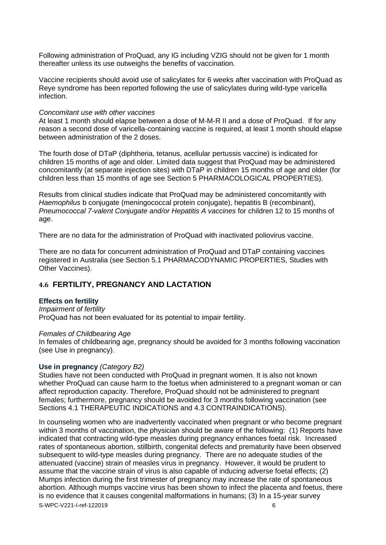Following administration of ProQuad, any IG including VZIG should not be given for 1 month thereafter unless its use outweighs the benefits of vaccination.

Vaccine recipients should avoid use of salicylates for 6 weeks after vaccination with ProQuad as Reye syndrome has been reported following the use of salicylates during wild-type varicella infection.

#### *Concomitant use with other vaccines*

At least 1 month should elapse between a dose of M-M-R II and a dose of ProQuad. If for any reason a second dose of varicella-containing vaccine is required, at least 1 month should elapse between administration of the 2 doses.

The fourth dose of DTaP (diphtheria, tetanus, acellular pertussis vaccine) is indicated for children 15 months of age and older. Limited data suggest that ProQuad may be administered concomitantly (at separate injection sites) with DTaP in children 15 months of age and older (for children less than 15 months of age see Section 5 PHARMACOLOGICAL PROPERTIES).

Results from clinical studies indicate that ProQuad may be administered concomitantly with *Haemophilus* b conjugate (meningococcal protein conjugate), hepatitis B (recombinant), *Pneumococcal 7-valent Conjugate and/or Hepatitis A vaccines for children 12 to 15 months of* age.

There are no data for the administration of ProQuad with inactivated poliovirus vaccine.

There are no data for concurrent administration of ProQuad and DTaP containing vaccines registered in Australia (see Section 5.1 PHARMACODYNAMIC PROPERTIES, Studies with Other Vaccines).

## **4.6 FERTILITY, PREGNANCY AND LACTATION**

#### **Effects on fertility**

## *Impairment of fertility*

ProQuad has not been evaluated for its potential to impair fertility.

#### *Females of Childbearing Age*

In females of childbearing age, pregnancy should be avoided for 3 months following vaccination (see Use in pregnancy).

#### **Use in pregnancy** *(Category B2)*

Studies have not been conducted with ProQuad in pregnant women. It is also not known whether ProQuad can cause harm to the foetus when administered to a pregnant woman or can affect reproduction capacity. Therefore, ProQuad should not be administered to pregnant females; furthermore, pregnancy should be avoided for 3 months following vaccination (see Sections 4.1 THERAPEUTIC INDICATIONS and 4.3 CONTRAINDICATIONS).

S-WPC-V221-I-ref-122019 6 In counseling women who are inadvertently vaccinated when pregnant or who become pregnant within 3 months of vaccination, the physician should be aware of the following: (1) Reports have indicated that contracting wild-type measles during pregnancy enhances foetal risk. Increased rates of spontaneous abortion, stillbirth, congenital defects and prematurity have been observed subsequent to wild-type measles during pregnancy. There are no adequate studies of the attenuated (vaccine) strain of measles virus in pregnancy. However, it would be prudent to assume that the vaccine strain of virus is also capable of inducing adverse foetal effects; (2) Mumps infection during the first trimester of pregnancy may increase the rate of spontaneous abortion. Although mumps vaccine virus has been shown to infect the placenta and foetus, there is no evidence that it causes congenital malformations in humans; (3) In a 15-year survey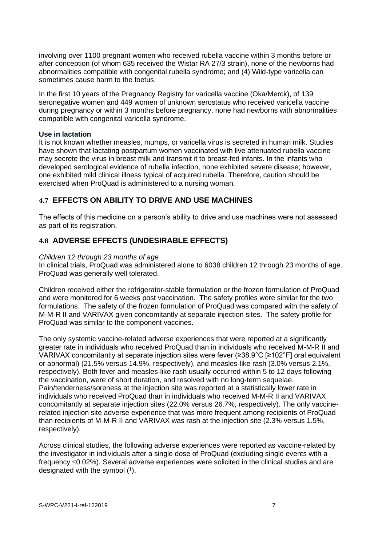involving over 1100 pregnant women who received rubella vaccine within 3 months before or after conception (of whom 635 received the Wistar RA 27/3 strain), none of the newborns had abnormalities compatible with congenital rubella syndrome; and (4) Wild-type varicella can sometimes cause harm to the foetus.

In the first 10 years of the Pregnancy Registry for varicella vaccine (Oka/Merck), of 139 seronegative women and 449 women of unknown serostatus who received varicella vaccine during pregnancy or within 3 months before pregnancy, none had newborns with abnormalities compatible with congenital varicella syndrome.

#### **Use in lactation**

It is not known whether measles, mumps, or varicella virus is secreted in human milk. Studies have shown that lactating postpartum women vaccinated with live attenuated rubella vaccine may secrete the virus in breast milk and transmit it to breast-fed infants. In the infants who developed serological evidence of rubella infection, none exhibited severe disease; however, one exhibited mild clinical illness typical of acquired rubella. Therefore, caution should be exercised when ProQuad is administered to a nursing woman.

## **4.7 EFFECTS ON ABILITY TO DRIVE AND USE MACHINES**

The effects of this medicine on a person's ability to drive and use machines were not assessed as part of its registration.

## **4.8 ADVERSE EFFECTS (UNDESIRABLE EFFECTS)**

#### *Children 12 through 23 months of age*

In clinical trials, ProQuad was administered alone to 6038 children 12 through 23 months of age. ProQuad was generally well tolerated.

Children received either the refrigerator-stable formulation or the frozen formulation of ProQuad and were monitored for 6 weeks post vaccination. The safety profiles were similar for the two formulations. The safety of the frozen formulation of ProQuad was compared with the safety of M-M-R II and VARIVAX given concomitantly at separate injection sites. The safety profile for ProQuad was similar to the component vaccines.

The only systemic vaccine-related adverse experiences that were reported at a significantly greater rate in individuals who received ProQuad than in individuals who received M-M-R II and VARIVAX concomitantly at separate injection sites were fever (≥38.9°C [≥102°F] oral equivalent or abnormal) (21.5% versus 14.9%, respectively), and measles-like rash (3.0% versus 2.1%, respectively). Both fever and measles-like rash usually occurred within 5 to 12 days following the vaccination, were of short duration, and resolved with no long-term sequelae. Pain/tenderness/soreness at the injection site was reported at a statistically lower rate in individuals who received ProQuad than in individuals who received M-M-R II and VARIVAX concomitantly at separate injection sites (22.0% versus 26.7%, respectively). The only vaccinerelated injection site adverse experience that was more frequent among recipients of ProQuad than recipients of M-M-R II and VARIVAX was rash at the injection site (2.3% versus 1.5%, respectively).

Across clinical studies, the following adverse experiences were reported as vaccine-related by the investigator in individuals after a single dose of ProQuad (excluding single events with a frequency  $\leq$ 0.02%). Several adverse experiences were solicited in the clinical studies and are designated with the symbol († ).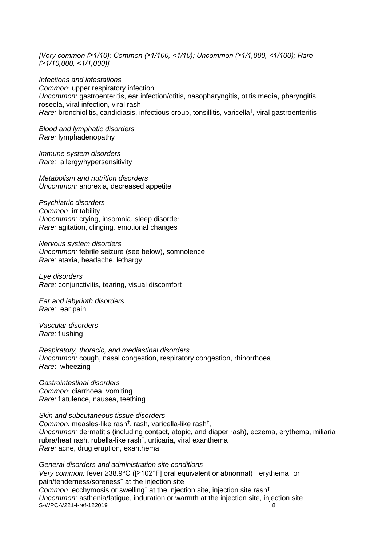*[Very common (≥1/10); Common (≥1/100, <1/10); Uncommon (≥1/1,000, <1/100); Rare (≥1/10,000, <1/1,000)]*

*Infections and infestations Common:* upper respiratory infection *Uncommon:* gastroenteritis, ear infection/otitis, nasopharyngitis, otitis media, pharyngitis, roseola, viral infection, viral rash *Rare:* bronchiolitis, candidiasis, infectious croup, tonsillitis, varicella† , viral gastroenteritis

*Blood and lymphatic disorders Rare:* lymphadenopathy

*Immune system disorders Rare:* allergy/hypersensitivity

*Metabolism and nutrition disorders Uncommon:* anorexia, decreased appetite

*Psychiatric disorders Common:* irritability *Uncommon:* crying, insomnia, sleep disorder *Rare:* agitation, clinging*,* emotional changes

*Nervous system disorders Uncommon:* febrile seizure (see below), somnolence *Rare:* ataxia, headache, lethargy

*Eye disorders Rare:* conjunctivitis, tearing, visual discomfort

*Ear and labyrinth disorders Rare*: ear pain

*Vascular disorders Rare:* flushing

*Respiratory, thoracic, and mediastinal disorders Uncommon:* cough, nasal congestion, respiratory congestion, rhinorrhoea *Rare*: wheezing

*Gastrointestinal disorders Common:* diarrhoea, vomiting *Rare:* flatulence, nausea, teething

*Skin and subcutaneous tissue disorders* Common: measles-like rash<sup>†</sup>, rash, varicella-like rash<sup>†</sup>, *Uncommon:* dermatitis (including contact, atopic, and diaper rash), eczema, erythema, miliaria rubra/heat rash, rubella-like rash† , urticaria, viral exanthema *Rare:* acne, drug eruption, exanthema

S-WPC-V221-I-ref-122019 8 *General disorders and administration site conditions Very common:* fever ≥38.9°C ([≥102°F] oral equivalent or abnormal)<sup>†</sup>, erythema<sup>†</sup> or pain/tenderness/soreness† at the injection site *Common:* ecchymosis or swelling<sup>†</sup> at the injection site, injection site rash<sup>†</sup> *Uncommon:* asthenia/fatigue, induration or warmth at the injection site, injection site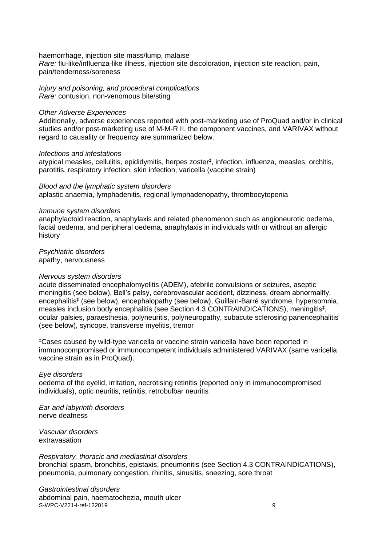#### haemorrhage, injection site mass/lump, malaise

*Rare:* flu-like/influenza-like illness, injection site discoloration, injection site reaction, pain, pain/tenderness/soreness

*Injury and poisoning, and procedural complications Rare:* contusion, non-venomous bite/sting

## *Other Adverse Experiences*

Additionally, adverse experiences reported with post-marketing use of ProQuad and/or in clinical studies and/or post-marketing use of M-M-R II, the component vaccines, and VARIVAX without regard to causality or frequency are summarized below.

#### *Infections and infestations*

atypical measles, cellulitis, epididymitis, herpes zoster‡ , infection, influenza, measles, orchitis, parotitis, respiratory infection, skin infection, varicella (vaccine strain)

*Blood and the lymphatic system disorders* aplastic anaemia, lymphadenitis, regional lymphadenopathy, thrombocytopenia

#### *Immune system disorders*

anaphylactoid reaction, anaphylaxis and related phenomenon such as angioneurotic oedema, facial oedema, and peripheral oedema, anaphylaxis in individuals with or without an allergic history

*Psychiatric disorders* apathy, nervousness

#### *Nervous system disorders*

acute disseminated encephalomyelitis (ADEM), afebrile convulsions or seizures, aseptic meningitis (see below), Bell's palsy, cerebrovascular accident, dizziness, dream abnormality, encephalitis<sup>‡</sup> (see below), encephalopathy (see below), Guillain-Barré syndrome, hypersomnia, measles inclusion body encephalitis (see Section 4.3 CONTRAINDICATIONS), meningitis‡ , ocular palsies, paraesthesia, polyneuritis, polyneuropathy, subacute sclerosing panencephalitis (see below), syncope, transverse myelitis, tremor

‡Cases caused by wild-type varicella or vaccine strain varicella have been reported in immunocompromised or immunocompetent individuals administered VARIVAX (same varicella vaccine strain as in ProQuad).

#### *Eye disorders*

oedema of the eyelid, irritation, necrotising retinitis (reported only in immunocompromised individuals), optic neuritis, retinitis, retrobulbar neuritis

*Ear and labyrinth disorders* nerve deafness

*Vascular disorders* extravasation

#### *Respiratory, thoracic and mediastinal disorders*

bronchial spasm, bronchitis, epistaxis, pneumonitis (see Section 4.3 CONTRAINDICATIONS), pneumonia, pulmonary congestion, rhinitis, sinusitis, sneezing, sore throat

S-WPC-V221-I-ref-122019 9 *Gastrointestinal disorders* abdominal pain, haematochezia, mouth ulcer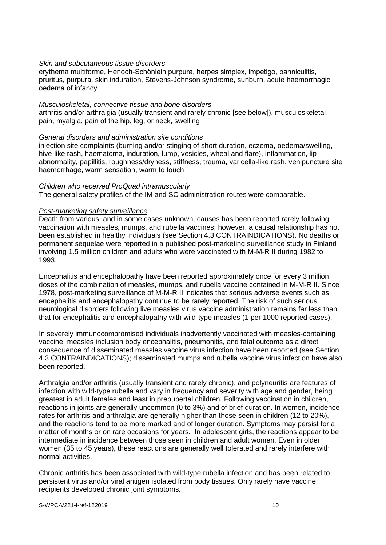#### *Skin and subcutaneous tissue disorders*

erythema multiforme, Henoch-Schőnlein purpura, herpes simplex, impetigo, panniculitis, pruritus, purpura, skin induration, Stevens-Johnson syndrome, sunburn, acute haemorrhagic oedema of infancy

#### *Musculoskeletal, connective tissue and bone disorders*

arthritis and/or arthralgia (usually transient and rarely chronic [see below]), musculoskeletal pain, myalgia, pain of the hip, leg, or neck, swelling

## *General disorders and administration site conditions*

injection site complaints (burning and/or stinging of short duration, eczema, oedema/swelling, hive-like rash, haematoma, induration, lump, vesicles, wheal and flare), inflammation, lip abnormality, papillitis, roughness/dryness, stiffness, trauma, varicella-like rash, venipuncture site haemorrhage, warm sensation, warm to touch

## *Children who received ProQuad intramuscularly*

The general safety profiles of the IM and SC administration routes were comparable.

## *Post-marketing safety surveillance*

Death from various, and in some cases unknown, causes has been reported rarely following vaccination with measles, mumps, and rubella vaccines; however, a causal relationship has not been established in healthy individuals (see Section 4.3 CONTRAINDICATIONS). No deaths or permanent sequelae were reported in a published post-marketing surveillance study in Finland involving 1.5 million children and adults who were vaccinated with M-M-R II during 1982 to 1993.

Encephalitis and encephalopathy have been reported approximately once for every 3 million doses of the combination of measles, mumps, and rubella vaccine contained in M-M-R II. Since 1978, post-marketing surveillance of M-M-R II indicates that serious adverse events such as encephalitis and encephalopathy continue to be rarely reported. The risk of such serious neurological disorders following live measles virus vaccine administration remains far less than that for encephalitis and encephalopathy with wild-type measles (1 per 1000 reported cases).

In severely immunocompromised individuals inadvertently vaccinated with measles-containing vaccine, measles inclusion body encephalitis, pneumonitis, and fatal outcome as a direct consequence of disseminated measles vaccine virus infection have been reported (see Section 4.3 CONTRAINDICATIONS); disseminated mumps and rubella vaccine virus infection have also been reported.

Arthralgia and/or arthritis (usually transient and rarely chronic), and polyneuritis are features of infection with wild-type rubella and vary in frequency and severity with age and gender, being greatest in adult females and least in prepubertal children. Following vaccination in children, reactions in joints are generally uncommon (0 to 3%) and of brief duration. In women, incidence rates for arthritis and arthralgia are generally higher than those seen in children (12 to 20%). and the reactions tend to be more marked and of longer duration. Symptoms may persist for a matter of months or on rare occasions for years. In adolescent girls, the reactions appear to be intermediate in incidence between those seen in children and adult women. Even in older women (35 to 45 years), these reactions are generally well tolerated and rarely interfere with normal activities.

Chronic arthritis has been associated with wild-type rubella infection and has been related to persistent virus and/or viral antigen isolated from body tissues. Only rarely have vaccine recipients developed chronic joint symptoms.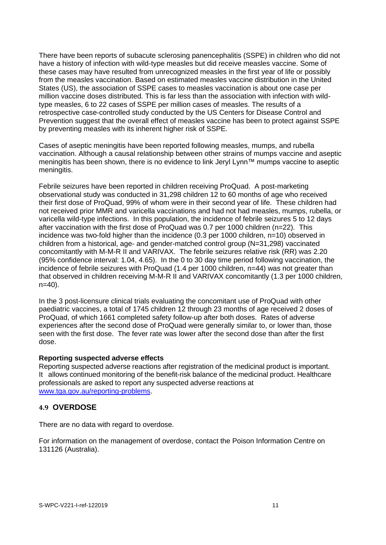There have been reports of subacute sclerosing panencephalitis (SSPE) in children who did not have a history of infection with wild-type measles but did receive measles vaccine. Some of these cases may have resulted from unrecognized measles in the first year of life or possibly from the measles vaccination. Based on estimated measles vaccine distribution in the United States (US), the association of SSPE cases to measles vaccination is about one case per million vaccine doses distributed. This is far less than the association with infection with wildtype measles, 6 to 22 cases of SSPE per million cases of measles. The results of a retrospective case-controlled study conducted by the US Centers for Disease Control and Prevention suggest that the overall effect of measles vaccine has been to protect against SSPE by preventing measles with its inherent higher risk of SSPE.

Cases of aseptic meningitis have been reported following measles, mumps, and rubella vaccination. Although a causal relationship between other strains of mumps vaccine and aseptic meningitis has been shown, there is no evidence to link Jeryl Lynn™ mumps vaccine to aseptic meningitis.

Febrile seizures have been reported in children receiving ProQuad. A post-marketing observational study was conducted in 31,298 children 12 to 60 months of age who received their first dose of ProQuad, 99% of whom were in their second year of life. These children had not received prior MMR and varicella vaccinations and had not had measles, mumps, rubella, or varicella wild-type infections. In this population, the incidence of febrile seizures 5 to 12 days after vaccination with the first dose of ProQuad was 0.7 per 1000 children (n=22). This incidence was two-fold higher than the incidence (0.3 per 1000 children, n=10) observed in children from a historical, age- and gender-matched control group (N=31,298) vaccinated concomitantly with M-M-R II and VARIVAX. The febrile seizures relative risk (RR) was 2.20 (95% confidence interval: 1.04, 4.65). In the 0 to 30 day time period following vaccination, the incidence of febrile seizures with ProQuad (1.4 per 1000 children, n=44) was not greater than that observed in children receiving M-M-R II and VARIVAX concomitantly (1.3 per 1000 children, n=40).

In the 3 post-licensure clinical trials evaluating the concomitant use of ProQuad with other paediatric vaccines, a total of 1745 children 12 through 23 months of age received 2 doses of ProQuad, of which 1661 completed safety follow-up after both doses. Rates of adverse experiences after the second dose of ProQuad were generally similar to, or lower than, those seen with the first dose. The fever rate was lower after the second dose than after the first dose.

#### **Reporting suspected adverse effects**

Reporting suspected adverse reactions after registration of the medicinal product is important. It allows continued monitoring of the benefit-risk balance of the medicinal product. Healthcare professionals are asked to report any suspected adverse reactions at [www.tga.gov.au/reporting-problems.](https://www.tga.gov.au/reporting-problems)

## **4.9 OVERDOSE**

There are no data with regard to overdose.

For information on the management of overdose, contact the Poison Information Centre on 131126 (Australia).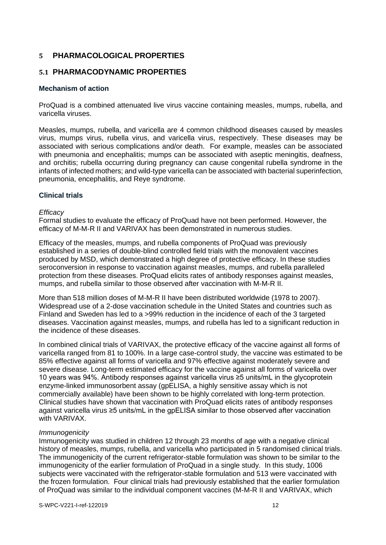# **5 PHARMACOLOGICAL PROPERTIES**

## **5.1 PHARMACODYNAMIC PROPERTIES**

## **Mechanism of action**

ProQuad is a combined attenuated live virus vaccine containing measles, mumps, rubella, and varicella viruses.

Measles, mumps, rubella, and varicella are 4 common childhood diseases caused by measles virus, mumps virus, rubella virus, and varicella virus, respectively. These diseases may be associated with serious complications and/or death. For example, measles can be associated with pneumonia and encephalitis; mumps can be associated with aseptic meningitis, deafness, and orchitis; rubella occurring during pregnancy can cause congenital rubella syndrome in the infants of infected mothers; and wild-type varicella can be associated with bacterial superinfection, pneumonia, encephalitis, and Reye syndrome.

## **Clinical trials**

#### *Efficacy*

Formal studies to evaluate the efficacy of ProQuad have not been performed. However, the efficacy of M-M-R II and VARIVAX has been demonstrated in numerous studies.

Efficacy of the measles, mumps, and rubella components of ProQuad was previously established in a series of double-blind controlled field trials with the monovalent vaccines produced by MSD, which demonstrated a high degree of protective efficacy. In these studies seroconversion in response to vaccination against measles, mumps, and rubella paralleled protection from these diseases. ProQuad elicits rates of antibody responses against measles, mumps, and rubella similar to those observed after vaccination with M-M-R II.

More than 518 million doses of M-M-R II have been distributed worldwide (1978 to 2007). Widespread use of a 2-dose vaccination schedule in the United States and countries such as Finland and Sweden has led to a >99% reduction in the incidence of each of the 3 targeted diseases. Vaccination against measles, mumps, and rubella has led to a significant reduction in the incidence of these diseases.

In combined clinical trials of VARIVAX, the protective efficacy of the vaccine against all forms of varicella ranged from 81 to 100%. In a large case-control study, the vaccine was estimated to be 85% effective against all forms of varicella and 97% effective against moderately severe and severe disease. Long-term estimated efficacy for the vaccine against all forms of varicella over 10 years was 94%. Antibody responses against varicella virus ≥5 units/mL in the glycoprotein enzyme-linked immunosorbent assay (gpELISA, a highly sensitive assay which is not commercially available) have been shown to be highly correlated with long-term protection. Clinical studies have shown that vaccination with ProQuad elicits rates of antibody responses against varicella virus ≥5 units/mL in the gpELISA similar to those observed after vaccination with VARIVAX.

## *Immunogenicity*

Immunogenicity was studied in children 12 through 23 months of age with a negative clinical history of measles, mumps, rubella, and varicella who participated in 5 randomised clinical trials. The immunogenicity of the current refrigerator-stable formulation was shown to be similar to the immunogenicity of the earlier formulation of ProQuad in a single study. In this study, 1006 subjects were vaccinated with the refrigerator-stable formulation and 513 were vaccinated with the frozen formulation. Four clinical trials had previously established that the earlier formulation of ProQuad was similar to the individual component vaccines (M-M-R II and VARIVAX, which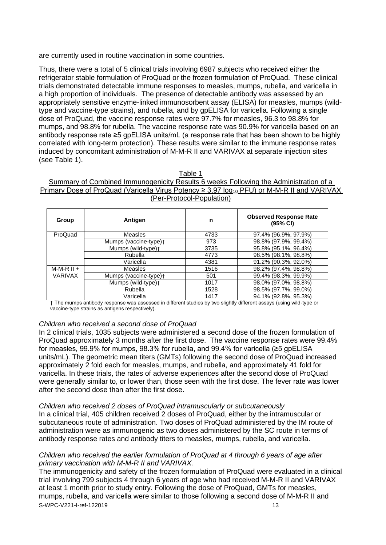are currently used in routine vaccination in some countries.

Thus, there were a total of 5 clinical trials involving 6987 subjects who received either the refrigerator stable formulation of ProQuad or the frozen formulation of ProQuad. These clinical trials demonstrated detectable immune responses to measles, mumps, rubella, and varicella in a high proportion of individuals. The presence of detectable antibody was assessed by an appropriately sensitive enzyme-linked immunosorbent assay (ELISA) for measles, mumps (wildtype and vaccine-type strains), and rubella, and by gpELISA for varicella. Following a single dose of ProQuad, the vaccine response rates were 97.7% for measles, 96.3 to 98.8% for mumps, and 98.8% for rubella. The vaccine response rate was 90.9% for varicella based on an antibody response rate ≥5 gpELISA units/mL (a response rate that has been shown to be highly correlated with long-term protection). These results were similar to the immune response rates induced by concomitant administration of M-M-R II and VARIVAX at separate injection sites (see Table 1).

#### Table 1

Summary of Combined Immunogenicity Results 6 weeks Following the Administration of a Primary Dose of ProQuad (Varicella Virus Potency  $\geq$  3.97 log<sub>10</sub> PFU) or M-M-R II and VARIVAX (Per-Protocol-Population)

| Group          | Antigen               | n    | <b>Observed Response Rate</b><br>(95% CI) |
|----------------|-----------------------|------|-------------------------------------------|
| ProQuad        | <b>Measles</b>        | 4733 | 97.4% (96.9%, 97.9%)                      |
|                | Mumps (vaccine-type)+ | 973  | 98.8% (97.9%, 99.4%)                      |
|                | Mumps (wild-type)+    | 3735 | 95.8% (95.1%, 96.4%)                      |
|                | Rubella               | 4773 | 98.5% (98.1%, 98.8%)                      |
|                | Varicella             | 4381 | 91.2% (90.3%, 92.0%)                      |
| $M-M-R II +$   | Measles               | 1516 | 98.2% (97.4%, 98.8%)                      |
| <b>VARIVAX</b> | Mumps (vaccine-type)+ | 501  | 99.4% (98.3%, 99.9%)                      |
|                | Mumps (wild-type)+    | 1017 | 98.0% (97.0%, 98.8%)                      |
|                | Rubella               | 1528 | 98.5% (97.7%, 99.0%)                      |
|                | Varicella             | 1417 | 94.1% (92.8%, 95.3%)                      |

† The mumps antibody response was assessed in different studies by two slightly different assays (using wild-type or vaccine-type strains as antigens respectively).

#### *Children who received a second dose of ProQuad*

In 2 clinical trials, 1035 subjects were administered a second dose of the frozen formulation of ProQuad approximately 3 months after the first dose. The vaccine response rates were 99.4% for measles, 99.9% for mumps, 98.3% for rubella, and 99.4% for varicella (≥5 gpELISA units/mL). The geometric mean titers (GMTs) following the second dose of ProQuad increased approximately 2 fold each for measles, mumps, and rubella, and approximately 41 fold for varicella. In these trials, the rates of adverse experiences after the second dose of ProQuad were generally similar to, or lower than, those seen with the first dose. The fever rate was lower after the second dose than after the first dose.

#### *Children who received 2 doses of ProQuad intramuscularly or subcutaneously*

In a clinical trial, 405 children received 2 doses of ProQuad, either by the intramuscular or subcutaneous route of administration. Two doses of ProQuad administered by the IM route of administration were as immunogenic as two doses administered by the SC route in terms of antibody response rates and antibody titers to measles, mumps, rubella, and varicella.

## *Children who received the earlier formulation of ProQuad at 4 through 6 years of age after primary vaccination with M-M-R II and VARIVAX.*

S-WPC-V221-I-ref-122019 13 The immunogenicity and safety of the frozen formulation of ProQuad were evaluated in a clinical trial involving 799 subjects 4 through 6 years of age who had received M-M-R II and VARIVAX at least 1 month prior to study entry. Following the dose of ProQuad, GMTs for measles, mumps, rubella, and varicella were similar to those following a second dose of M-M-R II and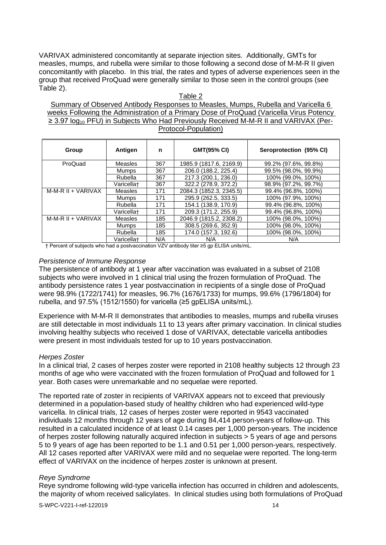VARIVAX administered concomitantly at separate injection sites. Additionally, GMTs for measles, mumps, and rubella were similar to those following a second dose of M-M-R II given concomitantly with placebo. In this trial, the rates and types of adverse experiences seen in the group that received ProQuad were generally similar to those seen in the control groups (see Table 2).

#### Table 2

Summary of Observed Antibody Responses to Measles, Mumps, Rubella and Varicella 6 weeks Following the Administration of a Primary Dose of ProQuad (Varicella Virus Potency ≥ 3.97 log<sub>10</sub> PFU) in Subjects Who Had Previously Received M-M-R II and VARIVAX (Per-Protocol-Population)

| Group              | Antigen        | n   | <b>GMT(95% CI)</b>      | Seroprotection (95% CI) |
|--------------------|----------------|-----|-------------------------|-------------------------|
| ProQuad            | <b>Measles</b> | 367 | 1985.9 (1817.6, 2169.9) | 99.2% (97.6%, 99.8%)    |
|                    | <b>Mumps</b>   | 367 | 206.0 (188.2, 225.4)    | 99.5% (98.0%, 99.9%)    |
|                    | Rubella        | 367 | 217.3 (200.1, 236.0)    | 100% (99.0%, 100%)      |
|                    | Varicella+     | 367 | 322.2 (278.9, 372.2)    | 98.9% (97.2%, 99.7%)    |
| M-M-R II + VARIVAX | <b>Measles</b> | 171 | 2084.3 (1852.3, 2345.5) | 99.4% (96.8%, 100%)     |
|                    | <b>Mumps</b>   | 171 | 295.9 (262.5, 333.5)    | 100% (97.9%, 100%)      |
|                    | Rubella        | 171 | 154.1 (138.9. 170.9)    | 99.4% (96.8%, 100%)     |
|                    | Varicella+     | 171 | 209.3 (171.2, 255.9)    | 99.4% (96.8%, 100%)     |
| M-M-R II + VARIVAX | Measles        | 185 | 2046.9 (1815.2, 2308.2) | 100% (98.0%, 100%)      |
|                    | Mumps          | 185 | 308.5 (269.6, 352.9)    | 100% (98.0%, 100%)      |
|                    | Rubella        | 185 | 174.0 (157.3. 192.6)    | 100% (98.0%, 100%)      |
|                    | Varicella+     | N/A | N/A                     | N/A                     |

† Percent of subjects who had a postvaccination VZV antibody titer ≥5 gp ELISA units/mL.

#### *Persistence of Immune Response*

The persistence of antibody at 1 year after vaccination was evaluated in a subset of 2108 subjects who were involved in 1 clinical trial using the frozen formulation of ProQuad. The antibody persistence rates 1 year postvaccination in recipients of a single dose of ProQuad were 98.9% (1722/1741) for measles, 96.7% (1676/1733) for mumps, 99.6% (1796/1804) for rubella, and 97.5% (1512/1550) for varicella (≥5 gpELISA units/mL).

Experience with M-M-R II demonstrates that antibodies to measles, mumps and rubella viruses are still detectable in most individuals 11 to 13 years after primary vaccination. In clinical studies involving healthy subjects who received 1 dose of VARIVAX, detectable varicella antibodies were present in most individuals tested for up to 10 years postvaccination.

#### *Herpes Zoster*

In a clinical trial, 2 cases of herpes zoster were reported in 2108 healthy subjects 12 through 23 months of age who were vaccinated with the frozen formulation of ProQuad and followed for 1 year. Both cases were unremarkable and no sequelae were reported.

The reported rate of zoster in recipients of VARIVAX appears not to exceed that previously determined in a population-based study of healthy children who had experienced wild-type varicella. In clinical trials, 12 cases of herpes zoster were reported in 9543 vaccinated individuals 12 months through 12 years of age during 84,414 person-years of follow-up. This resulted in a calculated incidence of at least 0.14 cases per 1,000 person-years. The incidence of herpes zoster following naturally acquired infection in subjects > 5 years of age and persons 5 to 9 years of age has been reported to be 1.1 and 0.51 per 1,000 person-years, respectively. All 12 cases reported after VARIVAX were mild and no sequelae were reported. The long-term effect of VARIVAX on the incidence of herpes zoster is unknown at present.

#### *Reye Syndrome*

Reye syndrome following wild-type varicella infection has occurred in children and adolescents, the majority of whom received salicylates. In clinical studies using both formulations of ProQuad

S-WPC-V221-I-ref-122019 14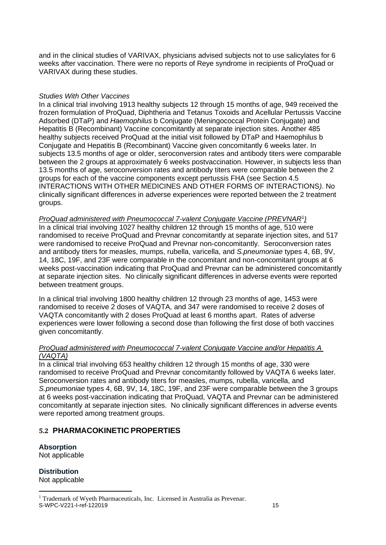and in the clinical studies of VARIVAX, physicians advised subjects not to use salicylates for 6 weeks after vaccination. There were no reports of Reye syndrome in recipients of ProQuad or VARIVAX during these studies.

## *Studies With Other Vaccines*

In a clinical trial involving 1913 healthy subjects 12 through 15 months of age, 949 received the frozen formulation of ProQuad, Diphtheria and Tetanus Toxoids and Acellular Pertussis Vaccine Adsorbed (DTaP) and *Haemophilus* b Conjugate (Meningococcal Protein Conjugate) and Hepatitis B (Recombinant) Vaccine concomitantly at separate injection sites. Another 485 healthy subjects received ProQuad at the initial visit followed by DTaP and Haemophilus b Conjugate and Hepatitis B (Recombinant) Vaccine given concomitantly 6 weeks later. In subjects 13.5 months of age or older, seroconversion rates and antibody titers were comparable between the 2 groups at approximately 6 weeks postvaccination. However, in subjects less than 13.5 months of age, seroconversion rates and antibody titers were comparable between the 2 groups for each of the vaccine components except pertussis FHA (see Section 4.5 INTERACTIONS WITH OTHER MEDICINES AND OTHER FORMS OF INTERACTIONS*)*. No clinically significant differences in adverse experiences were reported between the 2 treatment groups.

*ProQuad administered with Pneumococcal 7-valent Conjugate Vaccine (PREVNAR*<sup>1</sup> *)* In a clinical trial involving 1027 healthy children 12 through 15 months of age, 510 were randomised to receive ProQuad and Prevnar concomitantly at separate injection sites, and 517 were randomised to receive ProQuad and Prevnar non-concomitantly. Seroconversion rates and antibody titers for measles, mumps, rubella, varicella, and *S.pneumoniae* types 4, 6B, 9V, 14, 18C, 19F, and 23F were comparable in the concomitant and non-concomitant groups at 6 weeks post-vaccination indicating that ProQuad and Prevnar can be administered concomitantly at separate injection sites. No clinically significant differences in adverse events were reported between treatment groups.

In a clinical trial involving 1800 healthy children 12 through 23 months of age, 1453 were randomised to receive 2 doses of VAQTA, and 347 were randomised to receive 2 doses of VAQTA concomitantly with 2 doses ProQuad at least 6 months apart. Rates of adverse experiences were lower following a second dose than following the first dose of both vaccines given concomitantly.

## *ProQuad administered with Pneumococcal 7-valent Conjugate Vaccine and/or Hepatitis A (VAQTA)*

In a clinical trial involving 653 healthy children 12 through 15 months of age, 330 were randomised to receive ProQuad and Prevnar concomitantly followed by VAQTA 6 weeks later. Seroconversion rates and antibody titers for measles, mumps, rubella, varicella, and *S.pneumoniae* types 4, 6B, 9V, 14, 18C, 19F, and 23F were comparable between the 3 groups at 6 weeks post-vaccination indicating that ProQuad, VAQTA and Prevnar can be administered concomitantly at separate injection sites. No clinically significant differences in adverse events were reported among treatment groups.

# **5.2 PHARMACOKINETIC PROPERTIES**

# **Absorption**

Not applicable

**Distribution** Not applicable

S-WPC-V221-I-ref-122019 15 <sup>1</sup> Trademark of Wyeth Pharmaceuticals, Inc. Licensed in Australia as Prevenar.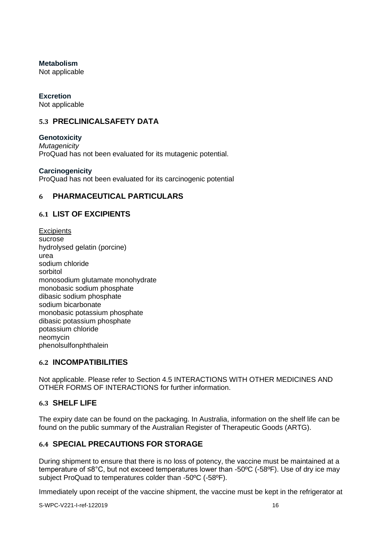## **Metabolism**

Not applicable

## **Excretion**

Not applicable

# **5.3 PRECLINICALSAFETY DATA**

**Genotoxicity** *Mutagenicity* ProQuad has not been evaluated for its mutagenic potential.

## **Carcinogenicity**

ProQuad has not been evaluated for its carcinogenic potential

# **6 PHARMACEUTICAL PARTICULARS**

# **6.1 LIST OF EXCIPIENTS**

**Excipients** sucrose hydrolysed gelatin (porcine) urea sodium chloride sorbitol monosodium glutamate monohydrate monobasic sodium phosphate dibasic sodium phosphate sodium bicarbonate monobasic potassium phosphate dibasic potassium phosphate potassium chloride neomycin phenolsulfonphthalein

# **6.2 INCOMPATIBILITIES**

Not applicable. Please refer to Section 4.5 INTERACTIONS WITH OTHER MEDICINES AND OTHER FORMS OF INTERACTIONS for further information.

# **6.3 SHELF LIFE**

The expiry date can be found on the packaging. In Australia, information on the shelf life can be found on the public summary of the Australian Register of Therapeutic Goods (ARTG).

# **6.4 SPECIAL PRECAUTIONS FOR STORAGE**

During shipment to ensure that there is no loss of potency, the vaccine must be maintained at a temperature of ≤8°C, but not exceed temperatures lower than -50ºC (-58ºF). Use of dry ice may subject ProQuad to temperatures colder than -50ºC (-58ºF).

Immediately upon receipt of the vaccine shipment, the vaccine must be kept in the refrigerator at

S-WPC-V221-I-ref-122019 16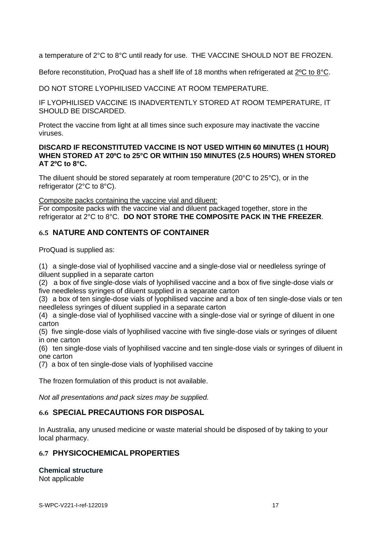a temperature of 2°C to 8°C until ready for use. THE VACCINE SHOULD NOT BE FROZEN.

Before reconstitution, ProQuad has a shelf life of 18 months when refrigerated at 2ºC to 8°C.

DO NOT STORE LYOPHILISED VACCINE AT ROOM TEMPERATURE.

IF LYOPHILISED VACCINE IS INADVERTENTLY STORED AT ROOM TEMPERATURE, IT SHOULD BE DISCARDED.

Protect the vaccine from light at all times since such exposure may inactivate the vaccine viruses.

## **DISCARD IF RECONSTITUTED VACCINE IS NOT USED WITHIN 60 MINUTES (1 HOUR) WHEN STORED AT 20ºC to 25°C OR WITHIN 150 MINUTES (2.5 HOURS) WHEN STORED AT 2ºC to 8°C.**

The diluent should be stored separately at room temperature (20°C to 25°C), or in the refrigerator (2°C to 8°C).

Composite packs containing the vaccine vial and diluent:

For composite packs with the vaccine vial and diluent packaged together, store in the refrigerator at 2°C to 8°C. **DO NOT STORE THE COMPOSITE PACK IN THE FREEZER**.

# **6.5 NATURE AND CONTENTS OF CONTAINER**

ProQuad is supplied as:

(1) a single-dose vial of lyophilised vaccine and a single-dose vial or needleless syringe of diluent supplied in a separate carton

(2) a box of five single-dose vials of lyophilised vaccine and a box of five single-dose vials or five needleless syringes of diluent supplied in a separate carton

(3) a box of ten single-dose vials of lyophilised vaccine and a box of ten single-dose vials or ten needleless syringes of diluent supplied in a separate carton

(4) a single-dose vial of lyophilised vaccine with a single-dose vial or syringe of diluent in one carton

(5) five single-dose vials of lyophilised vaccine with five single-dose vials or syringes of diluent in one carton

(6) ten single-dose vials of lyophilised vaccine and ten single-dose vials or syringes of diluent in one carton

(7) a box of ten single-dose vials of lyophilised vaccine

The frozen formulation of this product is not available.

*Not all presentations and pack sizes may be supplied.*

# **6.6 SPECIAL PRECAUTIONS FOR DISPOSAL**

In Australia, any unused medicine or waste material should be disposed of by taking to your local pharmacy.

# **6.7 PHYSICOCHEMICAL PROPERTIES**

**Chemical structure** Not applicable